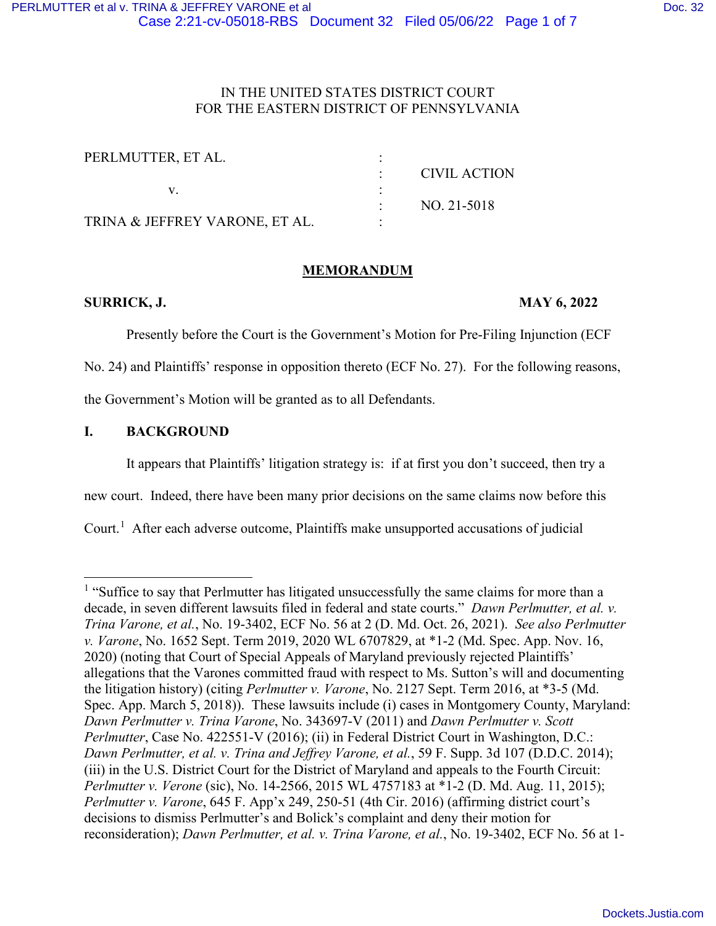## IN THE UNITED STATES DISTRICT COURT FOR THE EASTERN DISTRICT OF PENNSYLVANIA

| PERLMUTTER, ET AL.             |              |
|--------------------------------|--------------|
|                                | CIVIL ACTION |
|                                |              |
|                                | NO. 21-5018  |
| TRINA & JEFFREY VARONE, ET AL. |              |

# **MEMORANDUM**

# **SURRICK, J. MAY 6, 2022**

Presently before the Court is the Government's Motion for Pre-Filing Injunction (ECF

No. 24) and Plaintiffs' response in opposition thereto (ECF No. 27). For the following reasons,

the Government's Motion will be granted as to all Defendants.

## **I. BACKGROUND**

It appears that Plaintiffs' litigation strategy is: if at first you don't succeed, then try a

new court. Indeed, there have been many prior decisions on the same claims now before this

Court.<sup>[1](#page-0-0)</sup> After each adverse outcome, Plaintiffs make unsupported accusations of judicial

<span id="page-0-0"></span><sup>&</sup>lt;sup>1</sup> "Suffice to say that Perlmutter has litigated unsuccessfully the same claims for more than a decade, in seven different lawsuits filed in federal and state courts." *Dawn Perlmutter, et al. v. Trina Varone, et al.*, No. 19-3402, ECF No. 56 at 2 (D. Md. Oct. 26, 2021). *See also Perlmutter v. Varone*, No. 1652 Sept. Term 2019, 2020 WL 6707829, at \*1-2 (Md. Spec. App. Nov. 16, 2020) (noting that Court of Special Appeals of Maryland previously rejected Plaintiffs' allegations that the Varones committed fraud with respect to Ms. Sutton's will and documenting the litigation history) (citing *Perlmutter v. Varone*, No. 2127 Sept. Term 2016, at \*3-5 (Md. Spec. App. March 5, 2018)). These lawsuits include (i) cases in Montgomery County, Maryland: *Dawn Perlmutter v. Trina Varone*, No. 343697-V (2011) and *Dawn Perlmutter v. Scott Perlmutter*, Case No. 422551-V (2016); (ii) in Federal District Court in Washington, D.C.: *Dawn Perlmutter, et al. v. Trina and Jeffrey Varone, et al.*, 59 F. Supp. 3d 107 (D.D.C. 2014); (iii) in the U.S. District Court for the District of Maryland and appeals to the Fourth Circuit: *Perlmutter v. Verone* (sic), No. 14-2566, 2015 WL 4757183 at \*1-2 (D. Md. Aug. 11, 2015); *Perlmutter v. Varone*, 645 F. App'x 249, 250-51 (4th Cir. 2016) (affirming district court's decisions to dismiss Perlmutter's and Bolick's complaint and deny their motion for reconsideration); *Dawn Perlmutter, et al. v. Trina Varone, et al.*, No. 19-3402, ECF No. 56 at 1-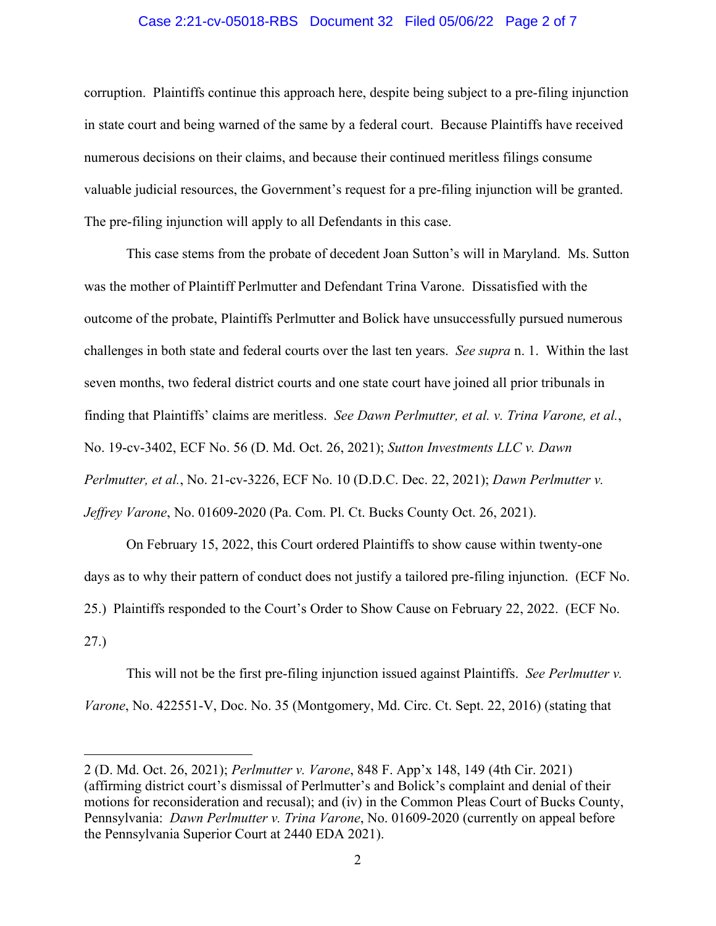#### Case 2:21-cv-05018-RBS Document 32 Filed 05/06/22 Page 2 of 7

corruption. Plaintiffs continue this approach here, despite being subject to a pre-filing injunction in state court and being warned of the same by a federal court. Because Plaintiffs have received numerous decisions on their claims, and because their continued meritless filings consume valuable judicial resources, the Government's request for a pre-filing injunction will be granted. The pre-filing injunction will apply to all Defendants in this case.

This case stems from the probate of decedent Joan Sutton's will in Maryland. Ms. Sutton was the mother of Plaintiff Perlmutter and Defendant Trina Varone. Dissatisfied with the outcome of the probate, Plaintiffs Perlmutter and Bolick have unsuccessfully pursued numerous challenges in both state and federal courts over the last ten years. *See supra* n. 1. Within the last seven months, two federal district courts and one state court have joined all prior tribunals in finding that Plaintiffs' claims are meritless. *See Dawn Perlmutter, et al. v. Trina Varone, et al.*, No. 19-cv-3402, ECF No. 56 (D. Md. Oct. 26, 2021); *Sutton Investments LLC v. Dawn Perlmutter, et al.*, No. 21-cv-3226, ECF No. 10 (D.D.C. Dec. 22, 2021); *Dawn Perlmutter v. Jeffrey Varone*, No. 01609-2020 (Pa. Com. Pl. Ct. Bucks County Oct. 26, 2021).

On February 15, 2022, this Court ordered Plaintiffs to show cause within twenty-one days as to why their pattern of conduct does not justify a tailored pre-filing injunction. (ECF No. 25.) Plaintiffs responded to the Court's Order to Show Cause on February 22, 2022. (ECF No. 27.)

This will not be the first pre-filing injunction issued against Plaintiffs. *See Perlmutter v. Varone*, No. 422551-V, Doc. No. 35 (Montgomery, Md. Circ. Ct. Sept. 22, 2016) (stating that

<sup>2 (</sup>D. Md. Oct. 26, 2021); *Perlmutter v. Varone*, 848 F. App'x 148, 149 (4th Cir. 2021) (affirming district court's dismissal of Perlmutter's and Bolick's complaint and denial of their motions for reconsideration and recusal); and (iv) in the Common Pleas Court of Bucks County, Pennsylvania: *Dawn Perlmutter v. Trina Varone*, No. 01609-2020 (currently on appeal before the Pennsylvania Superior Court at 2440 EDA 2021).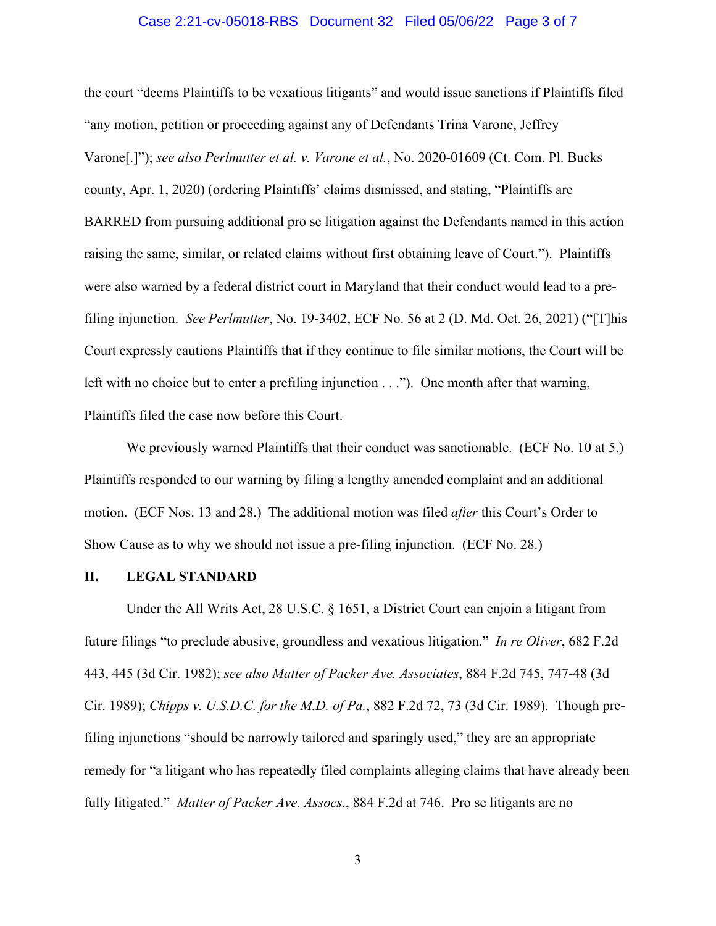#### Case 2:21-cv-05018-RBS Document 32 Filed 05/06/22 Page 3 of 7

the court "deems Plaintiffs to be vexatious litigants" and would issue sanctions if Plaintiffs filed "any motion, petition or proceeding against any of Defendants Trina Varone, Jeffrey Varone[.]"); *see also Perlmutter et al. v. Varone et al.*, No. 2020-01609 (Ct. Com. Pl. Bucks county, Apr. 1, 2020) (ordering Plaintiffs' claims dismissed, and stating, "Plaintiffs are BARRED from pursuing additional pro se litigation against the Defendants named in this action raising the same, similar, or related claims without first obtaining leave of Court."). Plaintiffs were also warned by a federal district court in Maryland that their conduct would lead to a prefiling injunction. *See Perlmutter*, No. 19-3402, ECF No. 56 at 2 (D. Md. Oct. 26, 2021) ("[T]his Court expressly cautions Plaintiffs that if they continue to file similar motions, the Court will be left with no choice but to enter a prefiling injunction . . ."). One month after that warning, Plaintiffs filed the case now before this Court.

We previously warned Plaintiffs that their conduct was sanctionable. (ECF No. 10 at 5.) Plaintiffs responded to our warning by filing a lengthy amended complaint and an additional motion. (ECF Nos. 13 and 28.) The additional motion was filed *after* this Court's Order to Show Cause as to why we should not issue a pre-filing injunction. (ECF No. 28.)

#### **II. LEGAL STANDARD**

Under the All Writs Act, 28 U.S.C. § 1651, a District Court can enjoin a litigant from future filings "to preclude abusive, groundless and vexatious litigation." *In re Oliver*, 682 F.2d 443, 445 (3d Cir. 1982); *see also Matter of Packer Ave. Associates*, 884 F.2d 745, 747-48 (3d Cir. 1989); *Chipps v. U.S.D.C. for the M.D. of Pa.*, 882 F.2d 72, 73 (3d Cir. 1989). Though prefiling injunctions "should be narrowly tailored and sparingly used," they are an appropriate remedy for "a litigant who has repeatedly filed complaints alleging claims that have already been fully litigated." *Matter of Packer Ave. Assocs.*, 884 F.2d at 746. Pro se litigants are no

3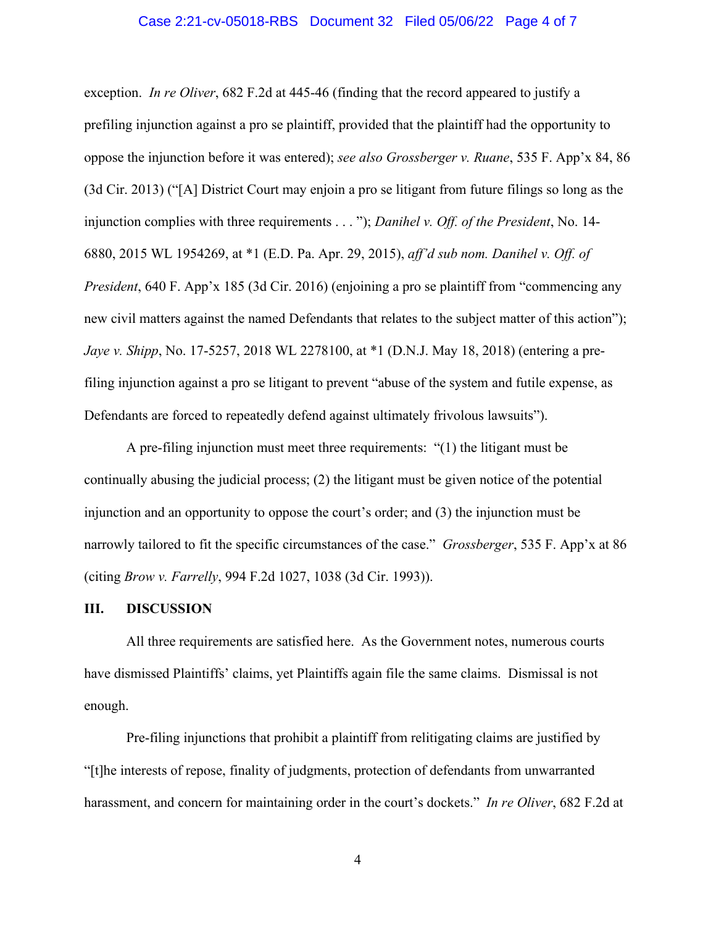#### Case 2:21-cv-05018-RBS Document 32 Filed 05/06/22 Page 4 of 7

exception. *In re Oliver*, 682 F.2d at 445-46 (finding that the record appeared to justify a prefiling injunction against a pro se plaintiff, provided that the plaintiff had the opportunity to oppose the injunction before it was entered); *see also Grossberger v. Ruane*, 535 F. App'x 84, 86 (3d Cir. 2013) ("[A] District Court may enjoin a pro se litigant from future filings so long as the injunction complies with three requirements . . . "); *Danihel v. Off. of the President*, No. 14- 6880, 2015 WL 1954269, at \*1 (E.D. Pa. Apr. 29, 2015), *aff'd sub nom. Danihel v. Off. of President*, 640 F. App'x 185 (3d Cir. 2016) (enjoining a pro se plaintiff from "commencing any new civil matters against the named Defendants that relates to the subject matter of this action"); *Jaye v. Shipp*, No. 17-5257, 2018 WL 2278100, at \*1 (D.N.J. May 18, 2018) (entering a prefiling injunction against a pro se litigant to prevent "abuse of the system and futile expense, as Defendants are forced to repeatedly defend against ultimately frivolous lawsuits").

A pre-filing injunction must meet three requirements: "(1) the litigant must be continually abusing the judicial process; (2) the litigant must be given notice of the potential injunction and an opportunity to oppose the court's order; and (3) the injunction must be narrowly tailored to fit the specific circumstances of the case." *Grossberger*, 535 F. App'x at 86 (citing *Brow v. Farrelly*, 994 F.2d 1027, 1038 (3d Cir. 1993)).

#### **III. DISCUSSION**

All three requirements are satisfied here. As the Government notes, numerous courts have dismissed Plaintiffs' claims, yet Plaintiffs again file the same claims. Dismissal is not enough.

Pre-filing injunctions that prohibit a plaintiff from relitigating claims are justified by "[t]he interests of repose, finality of judgments, protection of defendants from unwarranted harassment, and concern for maintaining order in the court's dockets." *In re Oliver*, 682 F.2d at

4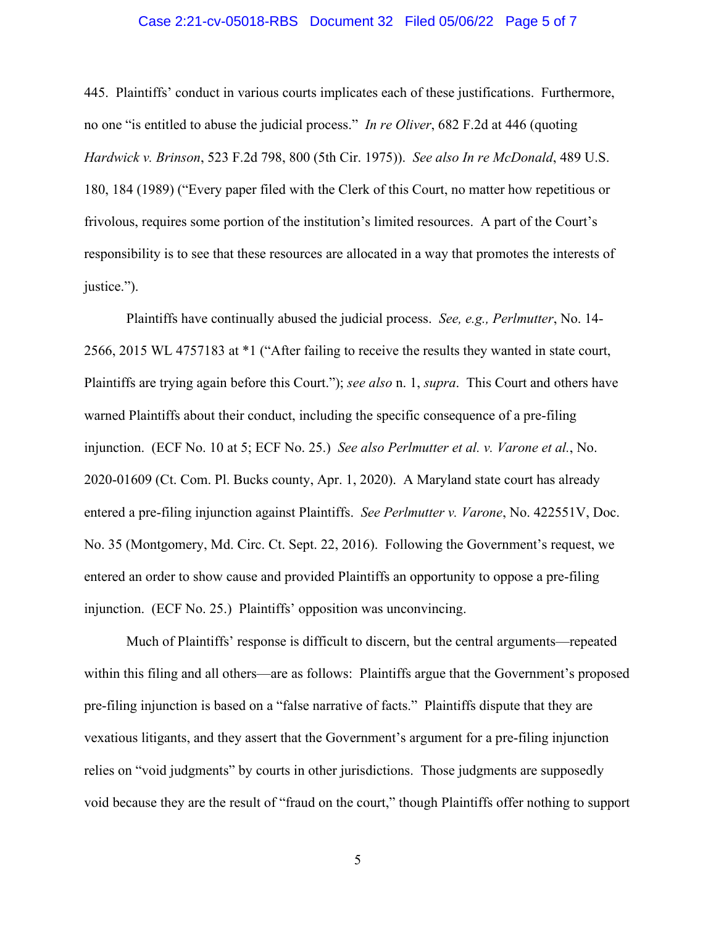#### Case 2:21-cv-05018-RBS Document 32 Filed 05/06/22 Page 5 of 7

445. Plaintiffs' conduct in various courts implicates each of these justifications. Furthermore, no one "is entitled to abuse the judicial process." *In re Oliver*, 682 F.2d at 446 (quoting *Hardwick v. Brinson*, 523 F.2d 798, 800 (5th Cir. 1975)). *See also In re McDonald*, 489 U.S. 180, 184 (1989) ("Every paper filed with the Clerk of this Court, no matter how repetitious or frivolous, requires some portion of the institution's limited resources. A part of the Court's responsibility is to see that these resources are allocated in a way that promotes the interests of justice.").

Plaintiffs have continually abused the judicial process. *See, e.g., Perlmutter*, No. 14- 2566, 2015 WL 4757183 at \*1 ("After failing to receive the results they wanted in state court, Plaintiffs are trying again before this Court."); *see also* n. 1, *supra*. This Court and others have warned Plaintiffs about their conduct, including the specific consequence of a pre-filing injunction. (ECF No. 10 at 5; ECF No. 25.) *See also Perlmutter et al. v. Varone et al.*, No. 2020-01609 (Ct. Com. Pl. Bucks county, Apr. 1, 2020). A Maryland state court has already entered a pre-filing injunction against Plaintiffs. *See Perlmutter v. Varone*, No. 422551V, Doc. No. 35 (Montgomery, Md. Circ. Ct. Sept. 22, 2016). Following the Government's request, we entered an order to show cause and provided Plaintiffs an opportunity to oppose a pre-filing injunction. (ECF No. 25.) Plaintiffs' opposition was unconvincing.

Much of Plaintiffs' response is difficult to discern, but the central arguments—repeated within this filing and all others—are as follows: Plaintiffs argue that the Government's proposed pre-filing injunction is based on a "false narrative of facts." Plaintiffs dispute that they are vexatious litigants, and they assert that the Government's argument for a pre-filing injunction relies on "void judgments" by courts in other jurisdictions. Those judgments are supposedly void because they are the result of "fraud on the court," though Plaintiffs offer nothing to support

5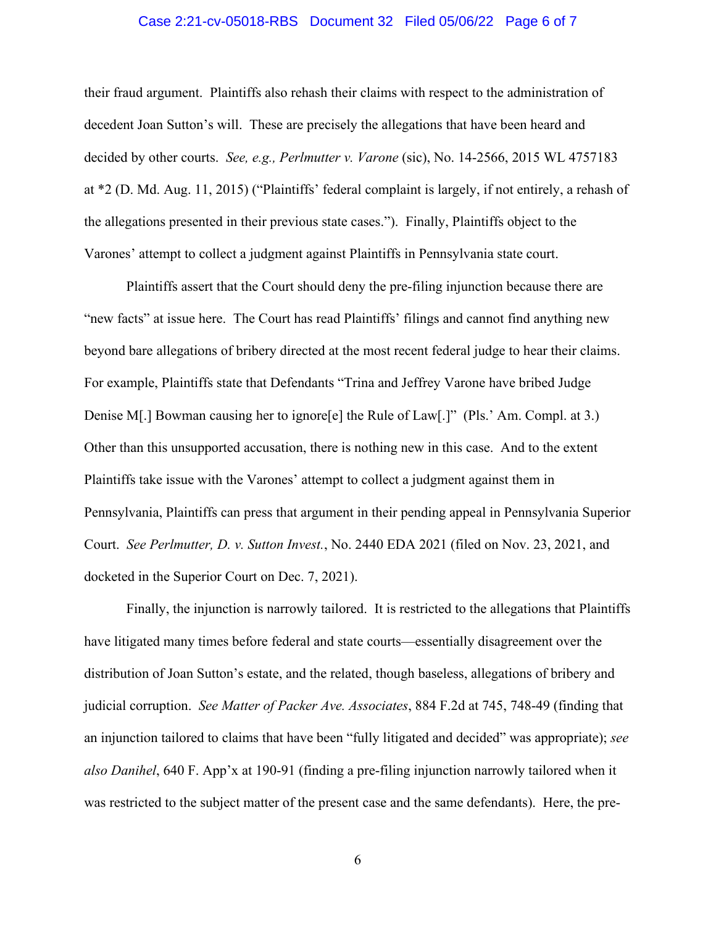#### Case 2:21-cv-05018-RBS Document 32 Filed 05/06/22 Page 6 of 7

their fraud argument. Plaintiffs also rehash their claims with respect to the administration of decedent Joan Sutton's will. These are precisely the allegations that have been heard and decided by other courts. *See, e.g., Perlmutter v. Varone* (sic), No. 14-2566, 2015 WL 4757183 at \*2 (D. Md. Aug. 11, 2015) ("Plaintiffs' federal complaint is largely, if not entirely, a rehash of the allegations presented in their previous state cases."). Finally, Plaintiffs object to the Varones' attempt to collect a judgment against Plaintiffs in Pennsylvania state court.

Plaintiffs assert that the Court should deny the pre-filing injunction because there are "new facts" at issue here. The Court has read Plaintiffs' filings and cannot find anything new beyond bare allegations of bribery directed at the most recent federal judge to hear their claims. For example, Plaintiffs state that Defendants "Trina and Jeffrey Varone have bribed Judge Denise M[.] Bowman causing her to ignore[e] the Rule of Law[.]" (Pls.' Am. Compl. at 3.) Other than this unsupported accusation, there is nothing new in this case. And to the extent Plaintiffs take issue with the Varones' attempt to collect a judgment against them in Pennsylvania, Plaintiffs can press that argument in their pending appeal in Pennsylvania Superior Court. *See Perlmutter, D. v. Sutton Invest.*, No. 2440 EDA 2021 (filed on Nov. 23, 2021, and docketed in the Superior Court on Dec. 7, 2021).

Finally, the injunction is narrowly tailored. It is restricted to the allegations that Plaintiffs have litigated many times before federal and state courts—essentially disagreement over the distribution of Joan Sutton's estate, and the related, though baseless, allegations of bribery and judicial corruption. *See Matter of Packer Ave. Associates*, 884 F.2d at 745, 748-49 (finding that an injunction tailored to claims that have been "fully litigated and decided" was appropriate); *see also Danihel*, 640 F. App'x at 190-91 (finding a pre-filing injunction narrowly tailored when it was restricted to the subject matter of the present case and the same defendants). Here, the pre-